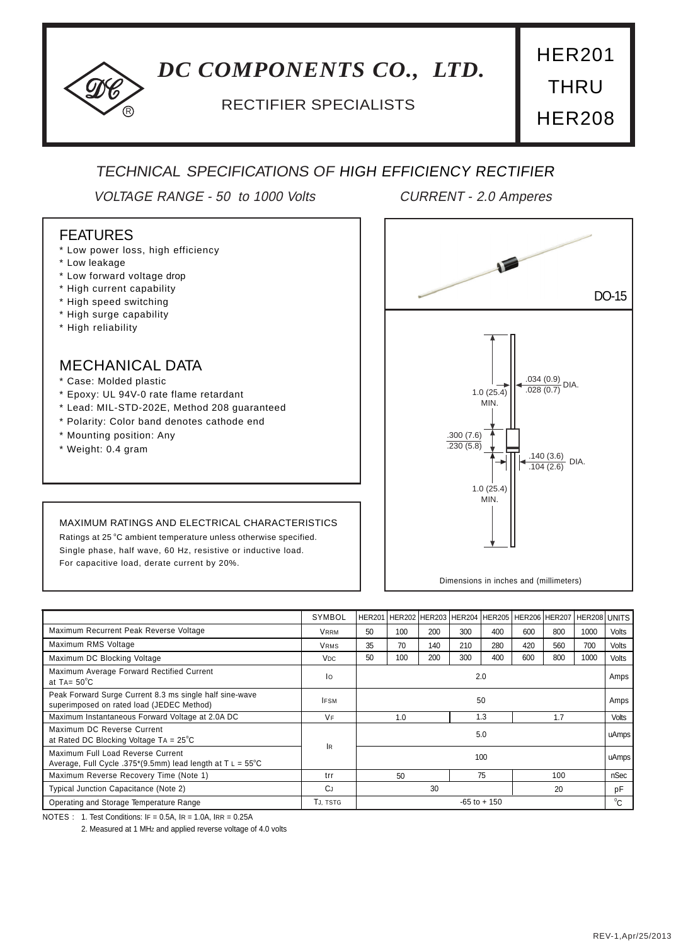# *DC COMPONENTS CO., LTD.*

## <sup>R</sup> RECTIFIER SPECIALISTS

HER201 **THRU** HER208

## TECHNICAL SPECIFICATIONS OF HIGH EFFICIENCY RECTIFIER

VOLTAGE RANGE - 50 to 1000 Volts CURRENT - 2.0 Amperes

### FEATURES

- \* Low power loss, high efficiency
- \* Low leakage
- \* Low forward voltage drop
- \* High current capability
- \* High speed switching
- \* High surge capability
- \* High reliability

## MECHANICAL DATA

- \* Case: Molded plastic
- \* Epoxy: UL 94V-0 rate flame retardant
- \* Lead: MIL-STD-202E, Method 208 guaranteed
- \* Polarity: Color band denotes cathode end
- \* Mounting position: Any
- \* Weight: 0.4 gram

#### MAXIMUM RATINGS AND ELECTRICAL CHARACTERISTICS

Ratings at 25 °C ambient temperature unless otherwise specified. Single phase, half wave, 60 Hz, resistive or inductive load. For capacitive load, derate current by 20%.



|                                                                                                          | SYMBOL          |                 | HER201 HER202 HER203 HER204 HER205 HER206 HER207 |     |     |     |     |              | HER208 UNITS |       |
|----------------------------------------------------------------------------------------------------------|-----------------|-----------------|--------------------------------------------------|-----|-----|-----|-----|--------------|--------------|-------|
| Maximum Recurrent Peak Reverse Voltage                                                                   | <b>VRRM</b>     | 50              | 100                                              | 200 | 300 | 400 | 600 | 800          | 1000         | Volts |
| Maximum RMS Voltage                                                                                      | <b>VRMS</b>     | 35              | 70                                               | 140 | 210 | 280 | 420 | 560          | 700          | Volts |
| Maximum DC Blocking Voltage                                                                              | V <sub>DC</sub> | 50              | 100                                              | 200 | 300 | 400 | 600 | 800          | 1000         | Volts |
| Maximum Average Forward Rectified Current<br>at TA= $50^{\circ}$ C                                       | lo              | 2.0             |                                                  |     |     |     |     |              |              | Amps  |
| Peak Forward Surge Current 8.3 ms single half sine-wave<br>superimposed on rated load (JEDEC Method)     | <b>IFSM</b>     | 50              |                                                  |     |     |     |     |              | Amps         |       |
| Maximum Instantaneous Forward Voltage at 2.0A DC                                                         | <b>VF</b>       | 1.0<br>1.3      |                                                  |     | 1.7 |     |     | <b>Volts</b> |              |       |
| Maximum DC Reverse Current<br>at Rated DC Blocking Voltage $TA = 25^{\circ}C$                            | <b>IR</b>       | 5.0             |                                                  |     |     |     |     |              |              | uAmps |
| Maximum Full Load Reverse Current<br>Average, Full Cycle .375*(9.5mm) lead length at $T L = 55^{\circ}C$ | 100             |                 |                                                  |     |     |     |     | uAmps        |              |       |
| Maximum Reverse Recovery Time (Note 1)                                                                   | trr             |                 | 50                                               |     |     | 75  |     | 100          |              | nSec  |
| Typical Junction Capacitance (Note 2)                                                                    | CJ.             | 30              |                                                  |     | 20  |     | pF  |              |              |       |
| Operating and Storage Temperature Range                                                                  | TJ, TSTG        | $-65$ to $+150$ |                                                  |     |     |     |     |              | $^0C$        |       |

NOTES : 1. Test Conditions: IF = 0.5A, IR = 1.0A, IRR = 0.25A

2. Measured at 1 MHz and applied reverse voltage of 4.0 volts